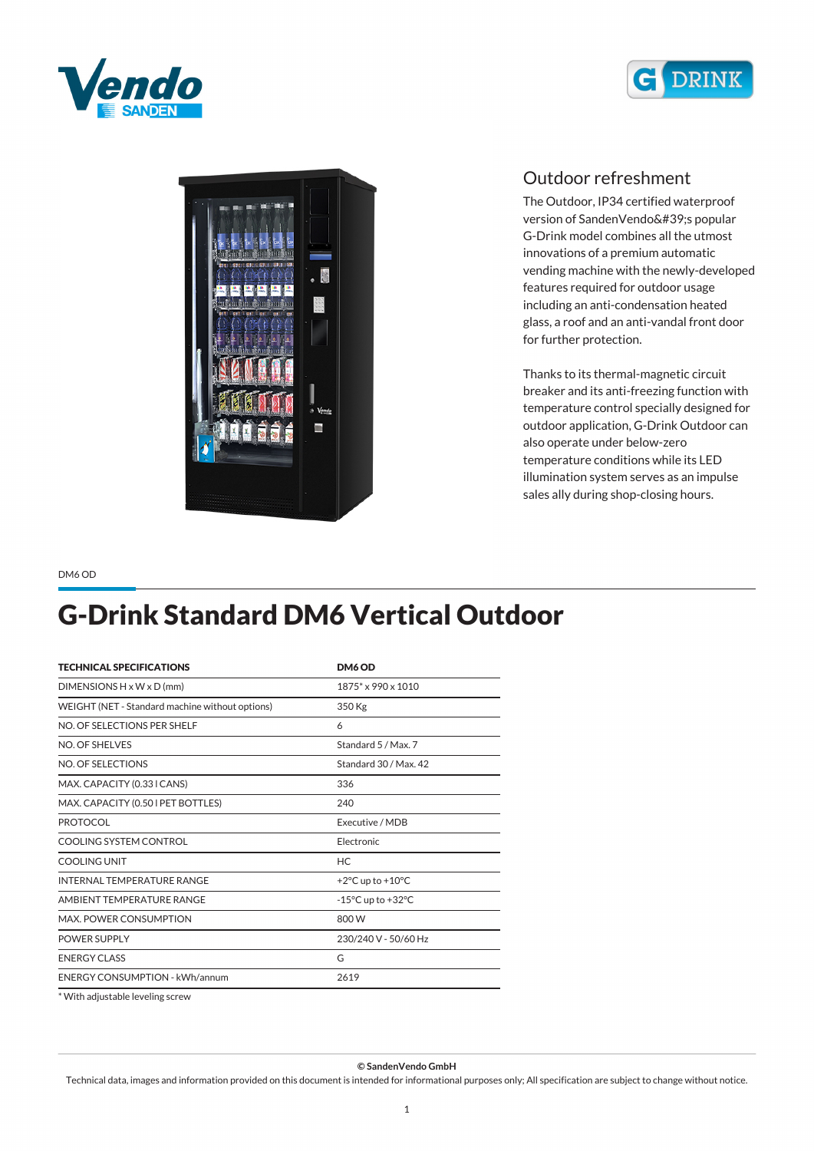





## *Outdoor refreshment*

*The Outdoor, IP34 certified waterproof version of SandenVendo's popular G-Drink model combines all the utmost innovations of a premium automatic vending machine with the newly-developed features required for outdoor usage including an anti-condensation heated glass, a roof and an anti-vandal front door for further protection.*

*Thanks to its thermal-magnetic circuit breaker and its anti-freezing function with temperature control specially designed for outdoor application, G-Drink Outdoor can also operate under below-zero temperature conditions while its LED illumination system serves as an impulse sales ally during shop-closing hours.*

*DM6 OD*

## *G-Drink Standard DM6 Vertical Outdoor*

| <b>TECHNICAL SPECIFICATIONS</b>                 | DM6 OD                                |
|-------------------------------------------------|---------------------------------------|
| $DIMENTSIONS H \times W \times D$ (mm)          | 1875* x 990 x 1010                    |
| WEIGHT (NET - Standard machine without options) | 350 Kg                                |
| NO. OF SELECTIONS PER SHELF                     | 6                                     |
| NO. OF SHELVES                                  | Standard 5 / Max. 7                   |
| NO. OF SELECTIONS                               | Standard 30 / Max. 42                 |
| MAX. CAPACITY (0.33 I CANS)                     | 336                                   |
| MAX. CAPACITY (0.50 I PET BOTTLES)              | 240                                   |
| <b>PROTOCOL</b>                                 | Executive / MDB                       |
| COOLING SYSTEM CONTROL                          | Electronic                            |
| COOLING UNIT                                    | <b>HC</b>                             |
| INTERNAL TEMPERATURE RANGE                      | +2 $\degree$ C up to +10 $\degree$ C  |
| AMBIENT TEMPERATURE RANGE                       | $-15^{\circ}$ C up to $+32^{\circ}$ C |
| MAX. POWER CONSUMPTION                          | 800W                                  |
| <b>POWER SUPPLY</b>                             | 230/240 V - 50/60 Hz                  |
| <b>ENERGY CLASS</b>                             | G                                     |
| <b>ENERGY CONSUMPTION - kWh/annum</b>           | 2619                                  |
|                                                 |                                       |

*\* With adjustable leveling screw*

*© SandenVendo GmbH*

*Technical data, images and information provided on this document is intended for informational purposes only; All specification are subject to change without notice.*